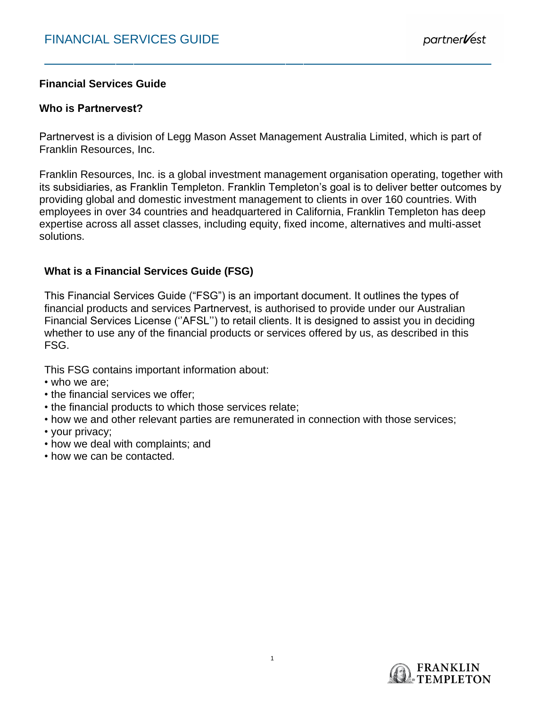# **Financial Services Guide**

# **Who is Partnervest?**

Partnervest is a division of Legg Mason Asset Management Australia Limited, which is part of Franklin Resources, Inc.

Franklin Resources, Inc. is a global investment management organisation operating, together with its subsidiaries, as Franklin Templeton. Franklin Templeton's goal is to deliver better outcomes by providing global and domestic investment management to clients in over 160 countries. With employees in over 34 countries and headquartered in California, Franklin Templeton has deep expertise across all asset classes, including equity, fixed income, alternatives and multi-asset solutions.

# **What is a Financial Services Guide (FSG)**

This Financial Services Guide ("FSG") is an important document. It outlines the types of financial products and services Partnervest, is authorised to provide under our Australian Financial Services License (''AFSL'') to retail clients. It is designed to assist you in deciding whether to use any of the financial products or services offered by us, as described in this FSG.

This FSG contains important information about:

- who we are;
- the financial services we offer;
- the financial products to which those services relate;
- how we and other relevant parties are remunerated in connection with those services;
- your privacy;
- how we deal with complaints; and
- how we can be contacted*.*

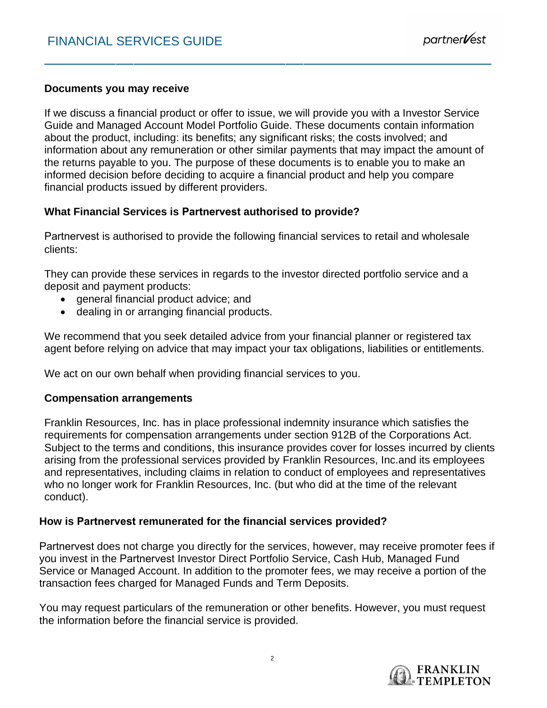# **Documents you may receive**

If we discuss a financial product or offer to issue, we will provide you with a Investor Service Guide and Managed Account Model Portfolio Guide. These documents contain information about the product, including: its benefits; any significant risks; the costs involved; and information about any remuneration or other similar payments that may impact the amount of the returns payable to you. The purpose of these documents is to enable you to make an informed decision before deciding to acquire a financial product and help you compare financial products issued by different providers.

# **What Financial Services is Partnervest authorised to provide?**

Partnervest is authorised to provide the following financial services to retail and wholesale clients:

They can provide these services in regards to the investor directed portfolio service and a deposit and payment products:

- general financial product advice; and
- dealing in or arranging financial products.

We recommend that you seek detailed advice from your financial planner or registered tax agent before relying on advice that may impact your tax obligations, liabilities or entitlements.

We act on our own behalf when providing financial services to you.

# **Compensation arrangements**

Franklin Resources, Inc. has in place professional indemnity insurance which satisfies the requirements for compensation arrangements under section 912B of the Corporations Act. Subject to the terms and conditions, this insurance provides cover for losses incurred by clients arising from the professional services provided by Franklin Resources, Inc.and its employees and representatives, including claims in relation to conduct of employees and representatives who no longer work for Franklin Resources, Inc. (but who did at the time of the relevant conduct).

# **How is Partnervest remunerated for the financial services provided?**

Partnervest does not charge you directly for the services, however, may receive promoter fees if you invest in the Partnervest Investor Direct Portfolio Service, Cash Hub, Managed Fund Service or Managed Account. In addition to the promoter fees, we may receive a portion of the transaction fees charged for Managed Funds and Term Deposits.

You may request particulars of the remuneration or other benefits. However, you must request the information before the financial service is provided.

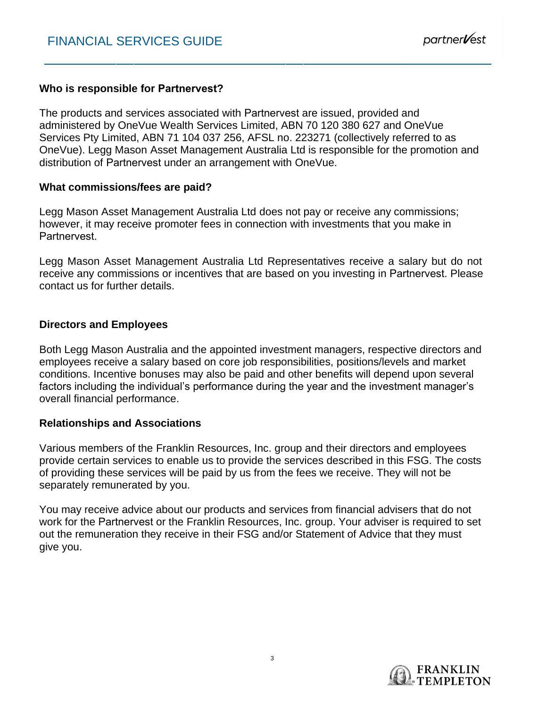### **Who is responsible for Partnervest?**

The products and services associated with Partnervest are issued, provided and administered by OneVue Wealth Services Limited, ABN 70 120 380 627 and OneVue Services Pty Limited, ABN 71 104 037 256, AFSL no. 223271 (collectively referred to as OneVue). Legg Mason Asset Management Australia Ltd is responsible for the promotion and distribution of Partnervest under an arrangement with OneVue.

#### **What commissions/fees are paid?**

Legg Mason Asset Management Australia Ltd does not pay or receive any commissions; however, it may receive promoter fees in connection with investments that you make in **Partnervest** 

Legg Mason Asset Management Australia Ltd Representatives receive a salary but do not receive any commissions or incentives that are based on you investing in Partnervest. Please contact us for further details.

#### **Directors and Employees**

Both Legg Mason Australia and the appointed investment managers, respective directors and employees receive a salary based on core job responsibilities, positions/levels and market conditions. Incentive bonuses may also be paid and other benefits will depend upon several factors including the individual's performance during the year and the investment manager's overall financial performance.

#### **Relationships and Associations**

Various members of the Franklin Resources, Inc. group and their directors and employees provide certain services to enable us to provide the services described in this FSG. The costs of providing these services will be paid by us from the fees we receive. They will not be separately remunerated by you.

You may receive advice about our products and services from financial advisers that do not work for the Partnervest or the Franklin Resources, Inc. group. Your adviser is required to set out the remuneration they receive in their FSG and/or Statement of Advice that they must give you.

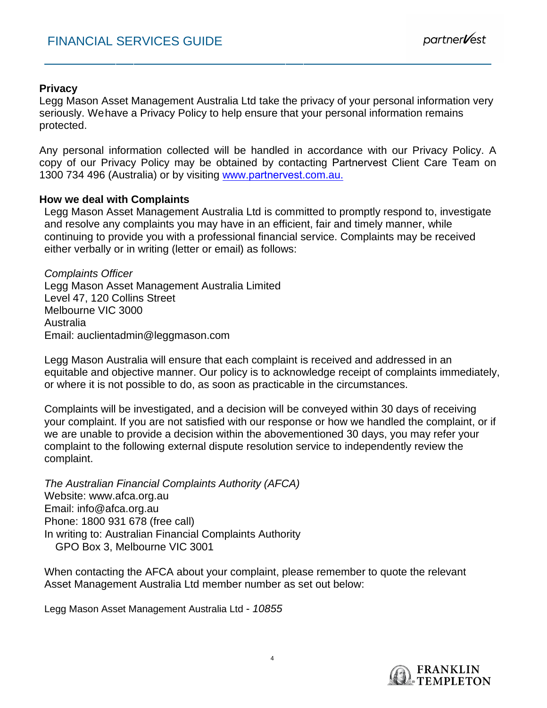# **Privacy**

Legg Mason Asset Management Australia Ltd take the privacy of your personal information very seriously. Wehave a Privacy Policy to help ensure that your personal information remains protected.

Any personal information collected will be handled in accordance with our Privacy Policy. A copy of our Privacy Policy may be obtained by contacting Partnervest Client Care Team on 1300 734 496 (Australia) or by visiting www.partnervest.com.au.

## **How we deal with Complaints**

Legg Mason Asset Management Australia Ltd is committed to promptly respond to, investigate and resolve any complaints you may have in an efficient, fair and timely manner, while continuing to provide you with a professional financial service. Complaints may be received either verbally or in writing (letter or email) as follows:

*Complaints Officer*  Legg Mason Asset Management Australia Limited Level 47, 120 Collins Street Melbourne VIC 3000 Australia Email: auclientadmin@leggmason.com

Legg Mason Australia will ensure that each complaint is received and addressed in an equitable and objective manner. Our policy is to acknowledge receipt of complaints immediately, or where it is not possible to do, as soon as practicable in the circumstances.

Complaints will be investigated, and a decision will be conveyed within 30 days of receiving your complaint. If you are not satisfied with our response or how we handled the complaint, or if we are unable to provide a decision within the abovementioned 30 days, you may refer your complaint to the following external dispute resolution service to independently review the complaint.

*The Australian Financial Complaints Authority (AFCA)*  Website: www.afca.org.au Email: info@afca.org.au Phone: 1800 931 678 (free call) In writing to: Australian Financial Complaints Authority GPO Box 3, Melbourne VIC 3001

When contacting the AFCA about your complaint, please remember to quote the relevant Asset Management Australia Ltd member number as set out below:

Legg Mason Asset Management Australia Ltd *- 10855*